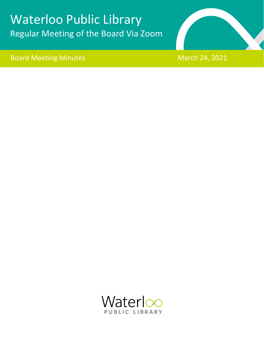# Waterloo Public Library Regular Meeting of the Board Via Zoom





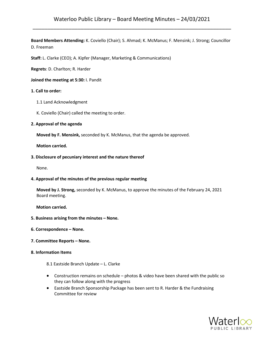**Board Members Attending:** K. Coviello (Chair); S. Ahmad; K. McManus; F. Mensink; J. Strong; Councillor D. Freeman

**Staff:** L. Clarke (CEO); A. Kipfer (Manager, Marketing & Communications)

**Regrets**: D. Charlton; R. Harder

**Joined the meeting at 5:30:** I. Pandit

#### **1. Call to order:**

- 1.1 Land Acknowledgment
- K. Coviello (Chair) called the meeting to order.

#### **2. Approval of the agenda**

**Moved by F. Mensink,** seconded by K. McManus, that the agenda be approved.

 **Motion carried.**

#### **3. Disclosure of pecuniary interest and the nature thereof**

None.

#### **4. Approval of the minutes of the previous regular meeting**

**Moved by J. Strong,** seconded by K. McManus, to approve the minutes of the February 24, 2021 Board meeting.

**Motion carried.**

- **5. Business arising from the minutes – None.**
- **6. Correspondence – None.**
- **7. Committee Reports – None.**

## **8. Information Items**

8.1 Eastside Branch Update – L. Clarke

- Construction remains on schedule photos & video have been shared with the public so they can follow along with the progress
- Eastside Branch Sponsorship Package has been sent to R. Harder & the Fundraising Committee for review

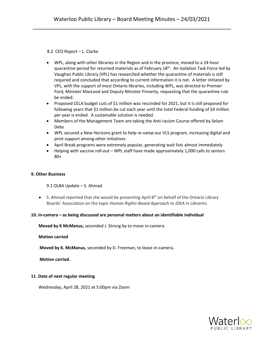8.2 CEO Report – L. Clarke

- WPL, along with other libraries in the Region and in the province, moved to a 24-hour quarantine period for returned materials as of February  $18<sup>th</sup>$ . An Isolation Task Force led by Vaughan Public Library (VPL) has researched whether the quarantine of materials is still required and concluded that according to current information it is not. A letter initiated by VPL, with the support of most Ontario libraries, including WPL, was directed to Premier Ford, Minister MacLeod and Deputy Minister Finnerty, requesting that the quarantine rule be ended.
- Proposed CELA budget cuts of \$1 million was rescinded for 2021, but it is still proposed for following years that \$1 million be cut each year until the total Federal funding of \$4 million per year is ended. A sustainable solution is needed.
- Members of the Management Team are taking the Anti-racism Course offered by Selam Debs
- WPL secured a New Horizons grant to help re-vamp our VLS program, increasing digital and print support among other initiatives
- April Break programs were extremely popular, generating wait lists almost immediately
- Helping with vaccine roll-out WPL staff have made approximately 1,000 calls to seniors 80+

## **9. Other Business**

## 9.1 OLBA Update – S. Ahmad

• S. Ahmad reported that she would be presenting April  $8<sup>th</sup>$  on behalf of the Ontario Library Boards' Association on the topic *Human Rights-Based Approach to IDEA in Libraries*.

## **10. In-camera – as being discussed are personal matters about an identifiable individual**

 **Moved by K McManus,** seconded J. Strong by to move in-camera.

 **Motion carried**

 **Moved by K. McManus,** seconded by D. Freeman, to leave in-camera.

 **Motion carried.**

## **11**. **Date of next regular meeting**

Wednesday, April 28, 2021 at 5:00pm via Zoom